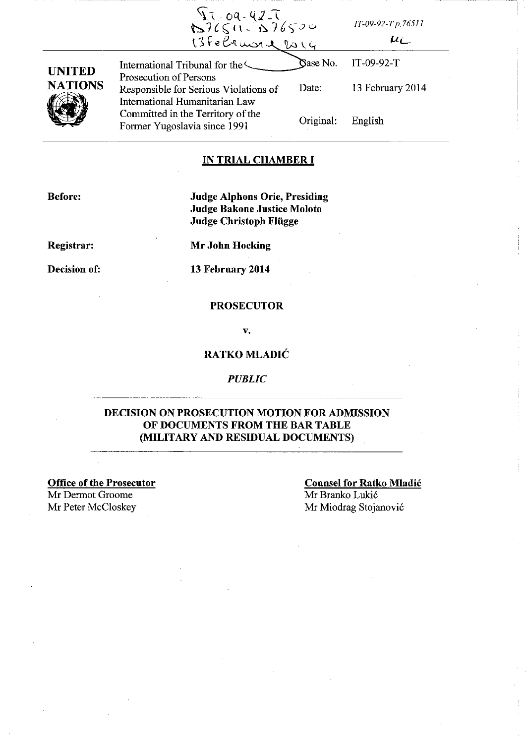|                                 | 13.09-42-7<br>1376511-076500<br>13February 2014                                                   |           | $IT-09-92-Tp.76511$<br>$\mu_{\ell}$ |
|---------------------------------|---------------------------------------------------------------------------------------------------|-----------|-------------------------------------|
| <b>UNITED</b><br><b>NATIONS</b> | International Tribunal for the                                                                    | Gase No.  | $IT-09-92-T$                        |
|                                 | Prosecution of Persons<br>Responsible for Serious Violations of<br>International Humanitarian Law | Date:     | 13 February 2014                    |
|                                 | Committed in the Territory of the<br>Former Yugoslavia since 1991                                 | Original: | English                             |

## **IN TRIAL CHAMBER I**

**Before:** 

# **Judge Alphons Orie, Presiding Judge Bakone Justice Moloto Judge Christoph Fliigge**

**Registrar:** 

**Mr John Hocking** 

**Decision of:** 

**13 February 2014** 

## **PROSECUTOR**

v\_

# **RATKOMLADIC**

## *PUBLIC*

# **DECISION ON PROSECUTION MOTION FOR ADMISSION OF DOCUMENTS FROM THE BAR TABLE (MILITARY AND RESIDUAL DOCUMENTS)**

**Office of the Prosecutor**  Mr Dermot Groome

**Counsel for Ratko Mladic**  Mr Branko Lukic Mr Peter McCloskey Mr Miodrag Stojanović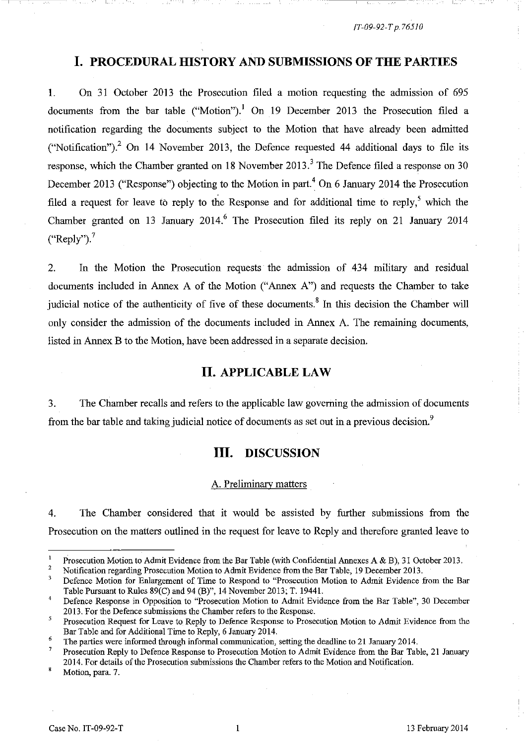1\_- --

# **I. PROCEDURAL HISTORY AND SUBMISSIONS OF THE PARTIES**

1. On 31 October 2013 the Prosecution filed a motion requesting the admission of 695 documents from the bar table ("Motion").<sup>1</sup> On 19 December 2013 the Prosecution filed a notification regarding the documents subject to the Motion that have already been admitted ("Notification").<sup>2</sup> On 14 November 2013, the Defence requested 44 additional days to file its response, which the Chamber granted on 18 November 2013.<sup>3</sup> The Defence filed a response on 30 December 2013 ("Response") objecting to the Motion in part.<sup>4</sup> On 6 January 2014 the Prosecution filed a request for leave to reply to the Response and for additional time to reply,<sup>5</sup> which the Chamber granted on 13 January 2014.<sup>6</sup> The Prosecution filed its reply on 21 January 2014  $("Reply")$ .

2. In the Motion the Prosecution requests the admission of 434 military and residual documents included in Annex A of the Motion ("Annex A") and requests the Chamber to take judicial notice of the authenticity of five of these documents.<sup>8</sup> In this decision the Chamber will only consider the admission of the documents included in Annex A. The remaining documents, listed in Annex B to the Motion, have been addressed in a separate decision.

# **II. APPLICABLE LAW**

3. The Chamber recalls and refers to the applicable law governing the admission of documents from the bar table and taking judicial notice of documents as set out in a previous decision.<sup>9</sup>

# **III. DISCUSSION**

### A. Preliminary matters

4. The Chamber considered that it would be assisted by further submissions from the Prosecution on the matters outlined in the request for leave to Reply and therefore granted leave to

 $\mathbf 1$ Prosecution Motion to Admit Evidence from the Bar Table (with Confidential Annexes A & B), 31 October 2013.

<sup>2</sup>  Notification regarding Prosecution Motion to Admit Evidence from the Bar Table, 19 December 2013.

<sup>3</sup>  Defence Motion for Enlargement of Time to Respond to "Prosecution Motion to Admit Evidence from the Bar Table Pursuant to Rules 89(C) and 94 (B)", 14 November 2013; T. 19441.

<sup>4</sup>  Defence Response in Opposition to "Prosecution Motion to Admit Evidence from the Bar Table", 30 December 2013. For the Defence submissions the Chamber refers to the Response.

<sup>5</sup>  Prosecution Request for Leave to Reply to Defence Response to Prosecution Motion to Admit Evidence from the Bar Table and for Additional Time to Reply, 6 January 2014.

<sup>6</sup>  The parties were informed through informal communication, setting the deadline to 21 January 2014.

Prosecution Reply to Defence Response to Prosecution Motion to Admit Evidence from the Bar Table, 21 January 2014. For details of the Prosecution submissions the Chamber refers to the Motion and Notification.

Motion, para. 7.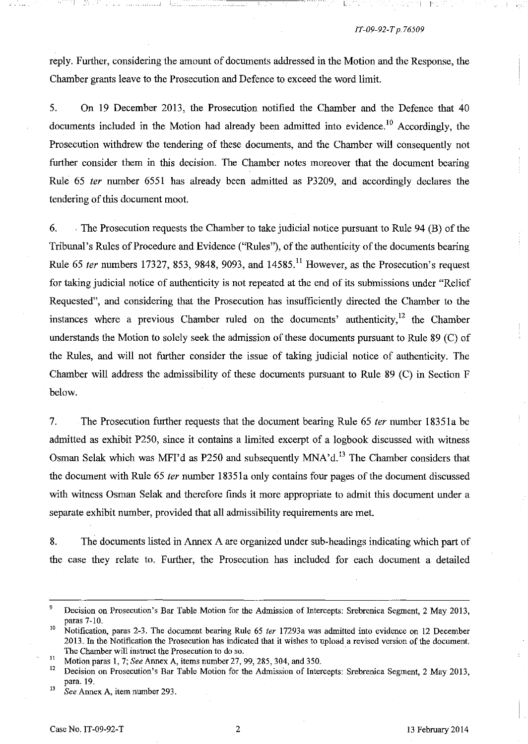La Saan Suomala Lagon Milli P

reply. Further, considering the amount of documents addressed in the Motion and the Response, the Chamber grants leave to the Prosecution and Defence to exceed the word limit.

5. On 19 December 2013, the Prosecution notified the Chamber and the Defence that 40 documents included in the Motion had already been admitted into evidence.<sup>10</sup> Accordingly, the Prosecution withdrew the tendering of these documents, and the Chamber will consequently not further consider them in this decision. The Chamber notes moreover that the document bearing Rule 65 fer number 6551 has already been admitted as P3209, and accordingly declares the tendering of this document moot.

6. . The Prosecution requests the Chamber to take judicial notice pursuant to Rule 94 (B) of the Tribunal's Rules of Procedure and Evidence ("Rules"), of the authenticity of the documents bearing Rule 65 *ter* numbers 17327, 853, 9848, 9093, and  $14585$ .<sup>11</sup> However, as the Prosecution's request for taking judicial notice of authenticity is not repeated at the end of its submissions under "Relief Requested", and considering that the Prosecution has insufficiently directed the Chamber to the instances where a previous Chamber ruled on the documents' authenticity, $12$  the Chamber understands the Motion to solely seek the admission of these documents pursuant to Rule 89 (C) of the Rules, and will not further consider the issue of taking judicial notice of authenticity. The Chamber will address the admissibility of these documents pursuant to Rule 89 (C) in Section F below.

7. The Prosecution further requests that the document bearing Rule 65 *ter* number 18351a be admitted as exhibit P250, since it contains a limited excerpt of a logbook discussed with witness Osman Selak which was MFI'd as P250 and subsequently MNA'd.<sup>13</sup> The Chamber considers that the document with Rule 65 *ter* number 18351a only contains four pages of the document discussed with witness Osman Selak and therefore finds it more appropriate to admit this document under a separate exhibit number, provided that all admissibility requirements are met.

8. The documents listed in Armex A are organized under sub-headings indicating which part of the case they relate to. Further, the Prosecution has included for each document a detailed

<sup>&</sup>lt;sup>9</sup> Decision on Prosecution's Bar Table Motion for the Admission of Intercepts: Srebrenica Segment, 2 May 2013, paras 7-10.

<sup>10</sup> Notification, paras 2-3. The document bearing Rule 65 *ier* 17293a was admitted into evidence on 12 December 2013. In the Notification the Prosecution has indicated that it wishes to upload a revised version of the document. The Chamber will instruct the Prosecution to do so. .

<sup>&</sup>lt;sup>11</sup> Motion paras 1, 7; *See* Annex A, items number 27, 99, 285, 304, and 350.<br><sup>12</sup> Decision on Prosecution's Bar Table Motion for the Admission of Inter

<sup>12</sup> Decision on Prosecution's Bar Table Motion for the Admission of Intercepts: Srebrenica Segment, 2 May 2013, para. 19.

<sup>13</sup>*See* Annex A, item number 293.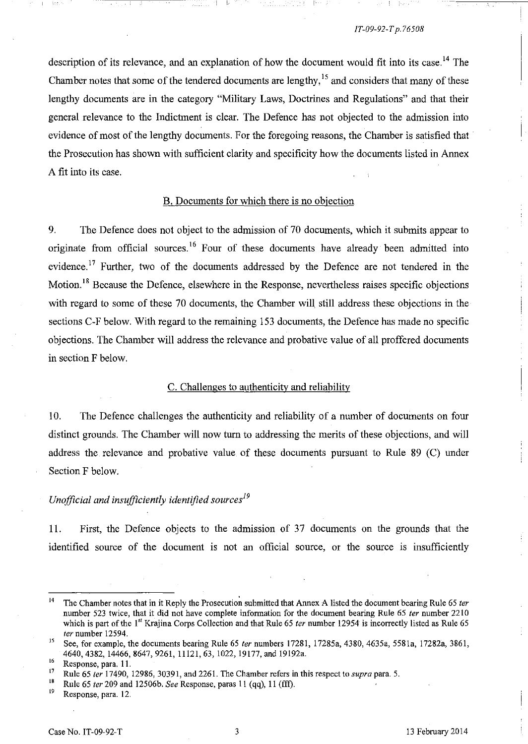description of its relevance, and an explanation of how the document would fit into its case.<sup>14</sup> The Chamber notes that some of the tendered documents are lengthy,<sup>15</sup> and considers that many of these lengthy documents are in the category "Military Laws, Doctrines and Regulations" and that their general relevance to the Indictment is clear. The Defence has not objected to the admission into evidence of most of the lengthy documents. For the foregoing reasons, the Chamber is satisfied that the Prosecution has shown with sufficient clarity and specificity how the documents listed in Annex A fit into its case.

## B. Documents for which there is no objection

9. The Defence does not object to the admission of 70 documents, which it submits appear to originate from official sources.<sup>16</sup> Four of these documents have already been admitted into evidence.<sup>17</sup> Further, two of the documents addressed by the Defence are not tendered in the Motion.<sup>18</sup> Because the Defence, elsewhere in the Response, nevertheless raises specific objections with regard to some of these 70 documents, the Chamber will still address these objections in the sections C-F below. With regard to the remaining 153 documents, the Defence has made no specific objections. The Chamber will address the relevance and probative value of all proffered documents in section F below.

## C. Challenges to authenticity and reliability

10. The Defence challenges the authenticity and reliability of a number of documents on four distinct grounds. The Chamber will now tum to addressing the merits of these objections, and will address the relevance and probative value of these documents pursuant to Rule 89 (C) under Section F below.

# *Unofficial and insufficiently identified sources*<sup>19</sup>

11. First, the Defence objects to the admission of 37 documents on the grounds that the identified source of the document is not an official source, or the source is insufficiently

<sup>&</sup>lt;sup>14</sup> The Chamber notes that in it Reply the Prosecution submitted that Annex A listed the document bearing Rule 65 *ter* number 523 twice, that it did not have complete information for the document bearing Rule 65 *ter* number 2210 which is part of the 1<sup>st</sup> Krajina Corps Collection and that Rule 65 *ter* number 12954 is incorrectly listed as Rule 65 *ter* number 12594.

<sup>15</sup> See, for example, the documents bearing Rule 65 *ter* numbers 17281, 17285a, 4380, 4635a, 5581a, 17282a, 3861, 4640,4382,14466,8647,9261,11121,63,1022,19177, and 19192a.

 $^{16}$  Response, para. 11.<br><sup>17</sup> Rule 65 ter 17490

<sup>17</sup> Rule 65 *ter* 17490, 12986,30391, and 2261. The Chamber refers in this respect to *supra* para. 5.

<sup>&</sup>lt;sup>18</sup> Rule 65 *ter* 209 and 12506b. *See* Response, paras 11 (qq), 11 (fff).<br><sup>19</sup> Response para 12

**<sup>19</sup>Response, para. 12.**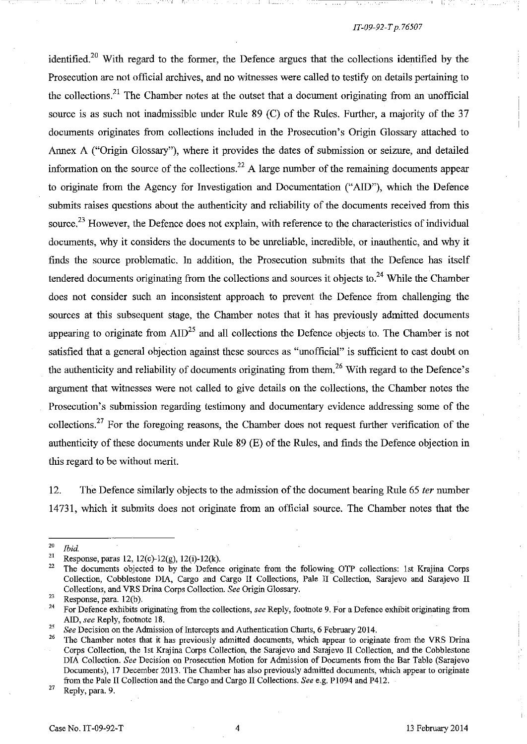, I

identified.<sup>20</sup> With regard to the former, the Defence argues that the collections identified by the Prosecution are not official archives, and no witnesses were called to testify on details pertaining to the collections.<sup>21</sup> The Chamber notes at the outset that a document originating from an unofficial source is as such not inadmissible under Rule 89 (C) of the Rules. Further, a majority of the 37 documents originates from collections included in the Prosecution's Origin Glossary attached to Annex A ("Origin Glossary"), where it provides the dates of submission or seizure, and detailed information on the source of the collections.<sup>22</sup> A large number of the remaining documents appear to originate from the Agency for Investigation and Documentation ("AID"), which the Defence submits raises questions about the authenticity and reliability of the documents received from this source.<sup>23</sup> However, the Defence does not explain, with reference to the characteristics of individual documents, why it considers the documents to be umeliable, incredible, or inauthentic, and why it finds the source problematic. In addition, the Prosecution submits that the Defence has itself tendered documents originating from the collections and sources it objects to.<sup>24</sup> While the Chamber does not consider such an inconsistent approach to prevent the Defence from challenging the sources at this subsequent stage, the Chamber notes that it has previously admitted documents appearing to originate from  $\text{AID}^{25}$  and all collections the Defence objects to. The Chamber is not satisfied that a general objection against these sources as "unofficial" is sufficient to cast doubt on the authenticity and reliability of documents originating from them.<sup>26</sup> With regard to the Defence's argument that witnesses were not called to give details on the collections, the Chamber notes the Prosecution's submission regarding testimony and documentary evidence addressing some of the collections.<sup>27</sup> For the foregoing reasons, the Chamber does not request further verification of the authenticity of these documents under Rule 89 (E) of the Rules, and finds the Defence objection in this regard to be without merit.

12. The Defence similarly objects to the admission of the document bearing Rule 65 *ter* number 14731, which it submits does not originate from an official source. The Chamber notes that the

**27 Reply, para. 9.** 

 $\frac{20}{21}$  *Ibid.* 

<sup>&</sup>lt;sup>21</sup> Response, paras 12, 12(c)-12(g), 12(i)-12(k).<br><sup>22</sup> The documents objected to by the Defence

<sup>22</sup> The documents objected to by the Defence originate from the following OTP collections: 1st Krajina Corps Collection, Cobblestone DlA, Cargo and Cargo II Collections, Pale II Collection, Sarajevo and Sarajevo II Collections, and VRS Drina Corps Collection. *See* Origin Glossary.

 $\frac{23}{24}$  Response, para. 12(b).

<sup>24</sup> For Defence exhibits originating from the collections, *see* Reply, footnote 9. For a Defence exhibit originating from AID, *see* Reply, footnote 18.

<sup>&</sup>lt;sup>25</sup> See Decision on the Admission of Intercepts and Authentication Charts, 6 February 2014.

<sup>26</sup> The Chamber notes that it has previously admitted documents, which appear to originate from the VRS Drina Corps Collection, the 1st Krajina Corps Collection, the Sarajevo and Sarajevo II Collection, and the Cobblestone DlA Collection. *See* Decision on Prosecution Motion for Admission of Documents from the Bar Table (Sarajevo Documents), 17 December 2013. The Chamber has also previously admitted documents, which appear to originate from the Pale II COllection and the Cargo and Cargo II Collections. *See* e.g. PI094 and P412.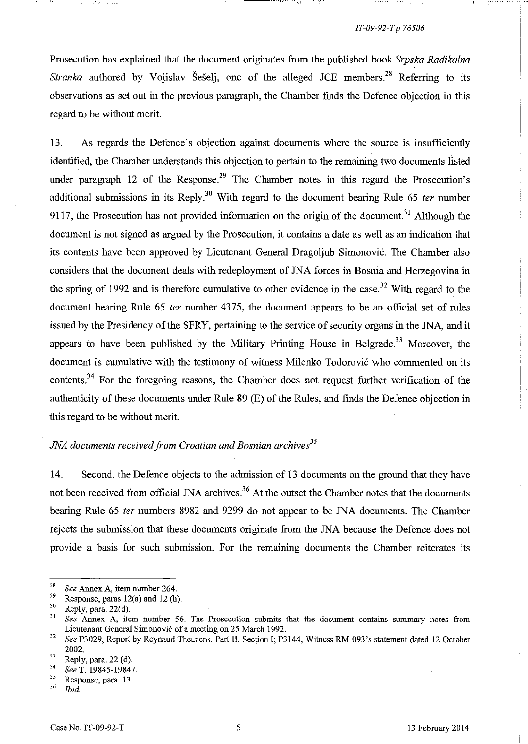Prosecution has explained that the document originates from the published book *Srpska Radikalna Stranka* authored by Vojislav Šešelj, one of the alleged *JCE* members.<sup>28</sup> Referring to its observations as set out in the previous paragraph, the Chamber finds the Defence objection in this regard to be without merit.

13. As regards the Defence's objection against documents where the source is insufficiently identified, the Chamber understands this objection to pertain to the remaining two documents listed under paragraph 12 of the Response.<sup>29</sup> The Chamber notes in this regard the Prosecution's additional submissions in its Reply.3o With regard to the document bearing Rule 65 *fer* number 9117, the Prosecution has not provided information on the origin of the document.<sup>31</sup> Although the document is not signed as argued by the Prosecution, it contains a date as well as an indication that its contents have been approved by Lieutenant General Dragoljub Simonovic. The Chamber also considers that the document deals with redeployment of JNA forces in Bosnia and Herzegovina in the spring of 1992 and is therefore cumulative to other evidence in the case.<sup>32</sup> With regard to the document bearing Rule 65 *ter* number 4375, the document appears to be an official set of rules issued by the Presidency of the SFRY, pertaining to the service of security organs in the JNA, and it appears to have been published by the Military Printing House in Belgrade.<sup>33</sup> Moreover, the document is cumulative with the testimony of witness Milenko Todorovic who commented on its contents.<sup>34</sup> For the foregoing reasons, the Chamber does not request further verification of the authenticity of these documents under Rule 89 (E) of the Rules, and fmds the Defence objection in this regard to be without merit.

# *JNA documents received from Croatian and Bosnian archives*<sup>35</sup>

14. Second, the Defence objects to the admission of 13 documents on the ground that they have not been received from official JNA archives.<sup>36</sup> At the outset the Chamber notes that the documents bearing Rule 65 *fer* numbers 8982 and 9299 do not appear to be JNA documents. The Chamber rejects the submission that these documents originate from the JNA because the Defence does not provide a basis for such submission. For the remaining documents the Chamber reiterates its

<sup>&</sup>lt;sup>28</sup> See Annex A, item number 264.<br><sup>29</sup> Personal name 12(a) and 13(b)

<sup>&</sup>lt;sup>29</sup> Response, paras 12(a) and 12 (h).<br><sup>30</sup> Parky name 22(d)

 $\frac{30}{31}$  Reply, para. 22(d).

*<sup>31</sup> See* **Annex A, item number 56. The Prosecution submits that the document contains summary notes from**  Lieutenant General Simonović of a meeting on 25 March 1992.

*<sup>32</sup> See* P3029, Report by Reynaud Theunens, Part II, Section I; P3144, Witness RM-093's statement dated 12 October 2002.

 $\frac{33}{34}$  Reply, para. 22 (d).

<sup>34</sup>*See* T. 19845-19847.

 $\frac{35}{36}$  Response, para. 13.

*<sup>36</sup> Ibid.*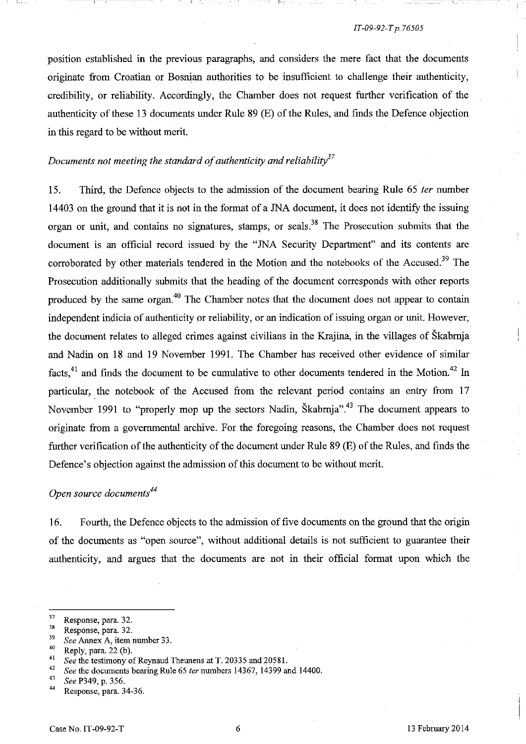position established in the previous paragraphs, and considers the mere fact that the documents originate from Croatian or Bosnian authorities to be insufficient to challenge their authenticity, credibility, or reliability. Accordingly, the Chamber does not request further verification of the authenticity of these 13 documents under Rule 89 (E) of the Rules, and finds the Defence objection in this regard to be without merit.

## *Documents not meeting the standard of authenticity and reliability37*

15. Third, the Defence objects to the admission of the document bearing Rule 65 *ter* number 14403 on the ground that it is not in the format of a JNA document, it does not identify the issuing organ or unit, and contains no signatures, stamps, or seals.<sup>38</sup> The Prosecution submits that the document is an official record issued by the "JNA Security Department" and its contents are corroborated by other materials tendered in the Motion and the notebooks of the Accused.<sup>39</sup> The Prosecution additionally submits that the heading of the document corresponds with other reports produced by the same organ.<sup>40</sup> The Chamber notes that the document does not appear to contain independent indicia of authenticity or reliability, or an indication of issuing organ or unit. However, the document relates to alleged crimes against civilians in the Krajina, in the villages of Skabmja and Nadin on 18 and 19 November 1991. The Chamber has received other evidence of similar facts,<sup>41</sup> and finds the document to be cumulative to other documents tendered in the Motion.<sup>42</sup> In particular, the notebook of the Accused from the relevant period contains an entry from 17 November 1991 to "properly mop up the sectors Nadin, Škabrnja",<sup>43</sup> The document appears to originate from a governmental archive. For the foregoing reasons, the Chamber does not request further verification of the authenticity of the document under Rule 89 (E) of the Rules, and fmds the Defence's objection against the admission of this document to be without merit.

## *Open source documents*<sup>44</sup>

16. Fourth, the Defence objects to the admission of five documents on the ground that the origin of the documents as "open source", without additional details is not sufficient to guarantee their authenticity, and argues that the documents are not in their official format upon which the

 $37$  Response, para. 32.

**<sup>38</sup> Response, para. 32.** 

*<sup>39</sup>See* **Annex A, item number 33.** 

 $^{40}$  Reply, para. 22 (b).

<sup>&</sup>lt;sup>41</sup> See the testimony of Reynaud Theunens at T. 20335 and 20581.<br><sup>42</sup> See the documents bearing Rule 65 fee numbers 14367, 14399.

<sup>&</sup>lt;sup>42</sup> See the documents bearing Rule 65 *ter* numbers 14367, 14399 and 14400.

*<sup>43</sup> See* P349, p. 356.

Response, para. 34-36.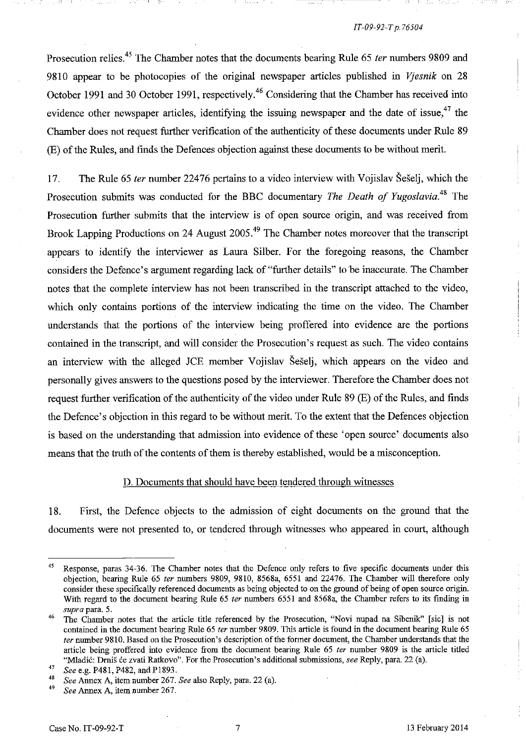Prosecution relies.45 The Chamber notes that the documents bearing Rule 65 *ter* numbers 9809 and 9810 appear to be photocopies of the original newspaper articles published in *Vjesnik* on 28 October 1991 and 30 October 1991, respectively.<sup>46</sup> Considering that the Chamber has received into evidence other newspaper articles, identifying the issuing newspaper and the date of issue,<sup>47</sup> the Chamber does not request further verification of the authenticity of these documents under Rule 89 (E) of the Rules, and finds the Defences objection against these documents to be without merit.

, t

17. The Rule 65 *ter* number 22476 pertains to a video interview with Vojislav Seselj, which the Prosecution submits was conducted for the BBC documentary *The Death of Yugoslavia*.<sup>48</sup> The Prosecution further submits that the interview is of open source origin, and was received from Brook Lapping Productions on 24 August 2005.<sup>49</sup> The Chamber notes moreover that the transcript appears to identify the interviewer as Laura Silber. For the foregoing reasons, the Chamber considers the Defence's argument regarding lack of "further details" to 'be inaccurate. The Chamber notes that the complete interview has not been transcribed in the transcript attached to the video, which only contains portions of the interview indicating the time on the video. The Chamber understands that the portions of the interview being proffered into evidence are the portions contained in the transcript, and will consider the Prosecution's request as such. The video contains an interview with the alleged JCE member Vojislav Seselj, which appears on the video and personally gives answers to the questions posed by the interviewer. Therefore the Chamber does not request further verification of the authenticity of the video under Rule 89 (E) of the Rules, and finds the Defence's objection in this regard to be without merit. To the extent that the Defences objection is based on the understanding that admission into evidence of these 'open source' documents also means that the truth of the contents of them is thereby established, would be a misconception.

### D. Documents that should have been tendered through witnesses

18. First, the Defence objects to the admission of eight documents on the ground that the documents were not presented to, or tendered through witnesses who appeared in court, although  $\mathbf{I}$ 

<sup>&</sup>lt;sup>45</sup> Response, paras 34-36. The Chamber notes that the Defence only refers to five specific documents under this objection, bearing Rule 65 *ter* numbers 9809, 9810, 8568a, 6551 and 22476. The Chamber wiII therefore only consider these specificaUy referenced documents as being objected to on the ground of being of open source origin. With regard to the document bearing Rule 65 *ter* numbers 6551 and 8568a, the Chamber refers to its finding in *supra* para. 5.

<sup>&</sup>lt;sup>46</sup> The Chamber notes that the article title referenced by the Prosecution, "Novi nupad na Sibenik" [sic] is not contained in the document bearing Rule 65 *ter* number 9809. This article is found in the document bearing Rule 65 *ter* number 9810. Based on the Prosecution's description of the former document, the Chamber understands that the article being proffered into evidence from the document bearing Rule 65 *ter* number 9809 is the article titled "Mladić: Drniš će zvati Ratkovo". For the Prosecution's additional submissions, *see* Reply, para. 22 (a).

<sup>&</sup>lt;sup>47</sup> See e.g. P481, P482, and P1893.

<sup>48</sup>*See* Annex A, item number 267. *See* also Reply, para. 22 (a).

*<sup>49</sup> See* Annex A, item number 267.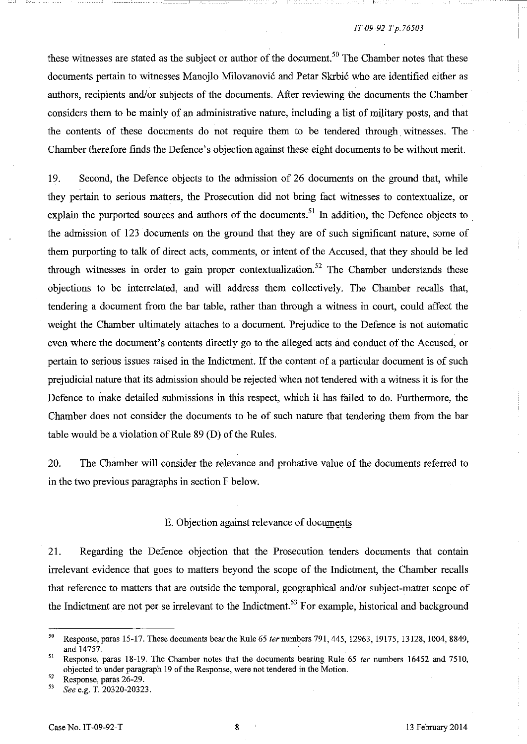these witnesses are stated as the subject or author of the document.<sup>50</sup> The Chamber notes that these documents pertain to witnesses Manojlo Milovanović and Petar Skrbić who are identified either as authors, recipients and/or subjects of the documents. After reviewing the documents the Chamber considers them to be mainly of an administrative nature, including a list of military posts, and that the contents of these documents do not require them to be tendered through. witnesses. The Chamber therefore finds the Defence's objection against these eight documents to be without merit.

19. Second, the Defence objects to the admission of 26 documents on the ground that, while they pertain to serious matters, the Prosecution did not bring fact witnesses to contextualize, or explain the purported sources and authors of the documents.<sup>51</sup> In addition, the Defence objects to the admission of 123 documents on the ground that they are of such significant nature, some of them purporting to talk of direct acts, comments, or intent of the Accused, that they should be led through witnesses in order to gain proper contextualization.<sup>52</sup> The Chamber understands these objections to be interrelated, and will address them collectively. The Chamber recalls that, tendering a document from the bar table, rather than through a witness in court, could affect the weight the Chamber ultimately attaches to a document. Prejudice to the Defence is not automatic even where the document's contents directly go to the alleged acts and conduct of the Accused, or pertain to serious issues raised in the Indictment. **If** the content of a particular document is of such prejudicial nature that its admission should be rejected when not tendered with a witness it is for the Defence to make detailed submissions in this respect, which it has failed to do. Furthermore, the Chamber does not consider the documents to be of such nature that tendering them from the bar table would be a violation of Rule 89 (D) of the Rules.

20. The Chamber will consider the relevance and probative value of the documents referred to in the two previous paragraphs in section F below.

## E. Objection against relevance of documents

21. Regarding the Defence objection that the Prosecution tenders documents that contain irrelevant evidence that goes to matters beyond the scope of the Indictment, the Chamber recalls that reference to matters that are outside the temporal, geographical and/or subject-matter scope of the Indictment are not per se irrelevant to the Indictment.<sup>53</sup> For example, historical and background

<sup>&</sup>lt;sup>50</sup> Response, paras 15-17. These documents bear the Rule 65 *ter* numbers 791, 445, 12963, 19175, 13128, 1004, 8849, and 14757.

<sup>&</sup>lt;sup>51</sup> Response, paras 18-19. The Chamber notes that the documents bearing Rule 65 *ter* numbers 16452 and 7510, objected to under paragraph 19 of the Response, were not tendered in the Motion.

 $52$  Response, paras 26-29.

*<sup>53</sup> See* e.g. T. 20320-20323.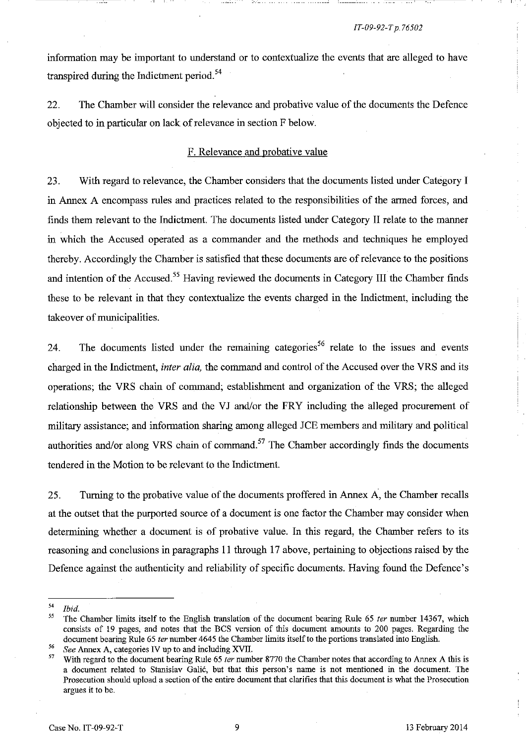infonnation may be important to understand or to contextuaJize the events that are alleged to have transpired during the Indictment period.<sup>54</sup>

22. The Chamber will consider the relevance and probative value of the documents the Defence objected to in particular on lack of relevance in section F below.

## F. Relevance and probative value

23. With regard to relevance, the Chamber considers that the documents listed under Category I in Annex A encompass rules and practices related to the responsibilities of the armed forces, and finds them relevant to the Indictment. The documents listed under Category II relate to the manner in which the Accused operated as a commander and the methods and techniques he employed thereby. Accordingly the Chamber is satisfied that these documents are of relevance to the positions and intention of the Accused.<sup>55</sup> Having reviewed the documents in Category III the Chamber finds these to be relevant in that they contextualize the events charged in the Indictment, including the takeover of municipalities.

24. The documents listed under the remaining categories<sup>56</sup> relate to the issues and events charged in the Indictment, *inter alia,* the command and control of the Accused over the VRS and its operations; the VRS chain of command; establishment and organization of the VRS; the alleged relationship between the VRS and the Vl and/or the FRY including the alleged procurement of military assistance; and infonnation sharing among alleged lCE members and military and political authorities and/or along VRS chain of command.<sup>57</sup> The Chamber accordingly finds the documents tendered in the Motion to be relevant to the Indictment.

25. Turning to the probative value of the documents proffered in Annex A, the Chamber recalls at the outset that the purported source of a document is one factor the Chamber may consider when determining whether a document is of probative value. **In** this regard, the Chamber refers to its reasoning and conclusions in paragraphs 11 through 17 above, pertaining to objections raised by the Defence against the authenticity and reliability of specific documents. Having found the Defence's

*<sup>54</sup> Ibid.* 

<sup>55</sup> The Chamber limits itself to the English translation of the docmnent bearing Rule 65 *ter* nmnber 14367, which consists of 19 pages, and notes that the BCS version of this docmnent amonnts to 200 pages. Regarding the document bearing Rule 65 *ter* number 4645 the Chamber limits itself to the portions translated into English.

*<sup>56</sup> See* Annex A, categories IV up to and including XVII.

<sup>57</sup> With regard to the docmnent bearing Rule 65 *ter* number 8770 the Chamber notes that according to Annex A this is **a document related to Stanislav Galic, but that this person's name is not mentioned in the document. The Prosecution should upload a section of the entire document that clarifies that this document is what the Prosecution**  argues it to be.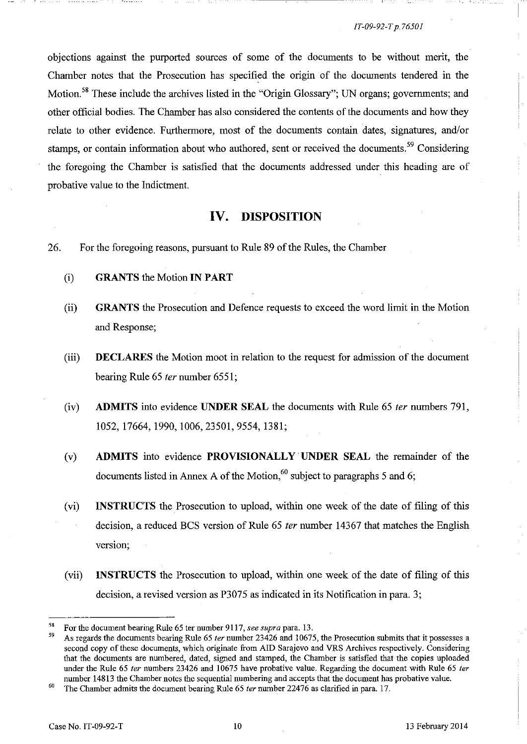objections against the purported sources of some of the documents to be without merit, the Chamber notes that the Prosecution has specified the origin of the documents tendered in the Motion.<sup>58</sup> These include the archives listed in the "Origin Glossary"; UN organs; governments; and other official bodies. The Chamber has also considered the contents of the documents and how they relate to other evidence. Furthermore, most of the documents contain dates, signatures, and/or stamps, or contain information about who authored, sent or received the documents.<sup>59</sup> Considering the foregoing the Chamber is satisfied that the documents addressed under this heading are of probative value to the Indictment.

# **IV. DISPOSITION**

- 26. For the foregoing reasons, pursuant to Rule 89 of the Rules, the Chamber
	- (i) **GRANTS** the Motion **IN PART**
	- (ii) **GRANTS** the Prosecution and Defence requests to exceed the word limit in the Motion and Response;
	- (iii) **DECLARES** the Motion moot in relation to the request for admission of the document bearing Rule 65 *ter* number 6551;
	- (iv) **ADMITS** into evidence **UNDER SEAL** the documents with Rule 65 fer numbers 791, 1052,17664,1990,1006,23501,9554,1381;
	- (v) **ADMITS** into evidence **PROVISIONALLY' UNDER SEAL** the remainder of the documents listed in Annex A of the Motion,<sup>60</sup> subject to paragraphs 5 and 6;
	- (vi) **INSTRUCTS** the Prosecution to upload, within one week of the date of filing of this decision, a reduced BCS version of Rule 65 ter number 14367 that matches the English version;
	- (vii) **INSTRUCTS** the Prosecution to upload, within one week of the date of filing of this decision, a revised version as P3075 as indicated in its Notification in para. 3;

<sup>58</sup> For the document bearing Rule 65 ter number 911 7, *see supra* para. 13.

<sup>59</sup> As regards the documents bearing Rule 65 *ter* number 23426 and 10675. the Prosecution submits that it possesses a second copy of these documents, which originate from AID Sarajevo and VRS Archives respectively. Considering that the documents are numbered, dated, signed and stamped, the Chamber is satisfied that the copies uploaded under the Rule 65 *ter* numbers 23426 and 10675 have probative value. Regarding the document with Rule 65 *ter*  number 14813 the Chamber notes the sequential numbering and accepts that the document has probative value.

<sup>60</sup> The Chamber admits the document bearing Rule 65 *ter* number 22476 as clarified in para. 17.